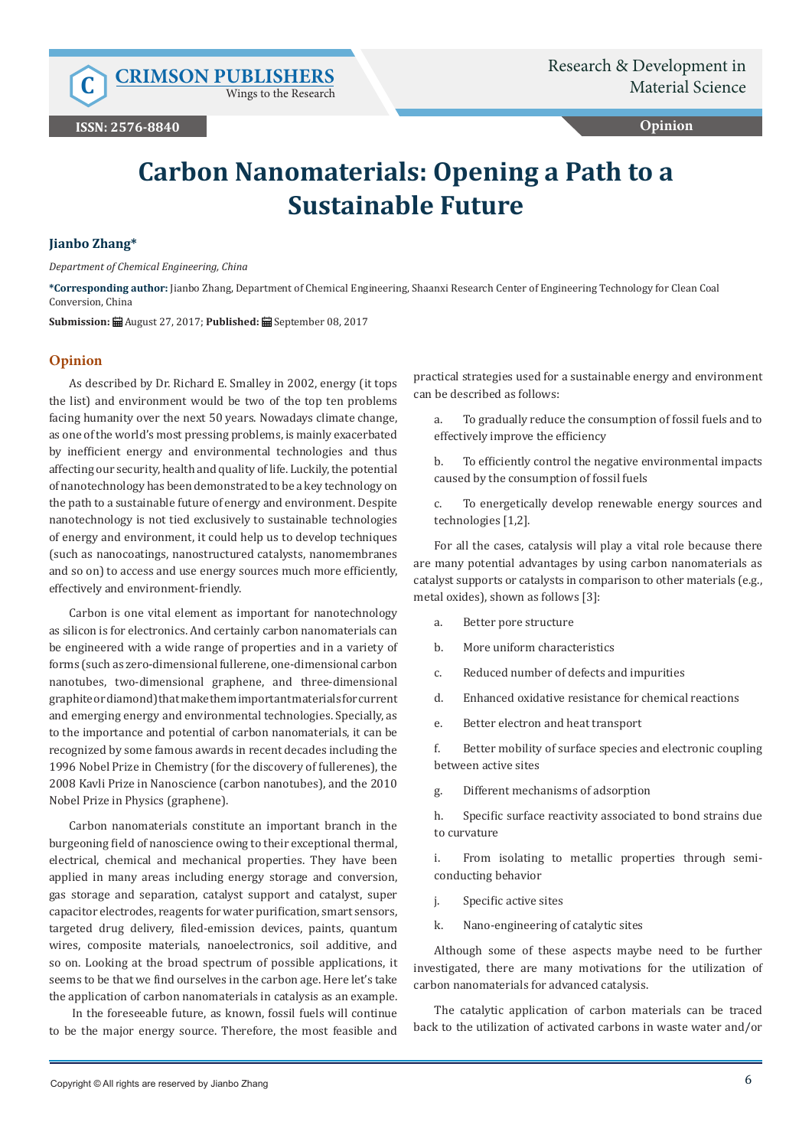Wings to the Research

## **Opinion**

# **Carbon Nanomaterials: Opening a Path to a Sustainable Future**

### **Jianbo Zhang\***

*Department of Chemical Engineering, China*

**\*Corresponding author:** Jianbo Zhang, Department of Chemical Engineering, Shaanxi Research Center of Engineering Technology for Clean Coal Conversion, China

**Submission:** August 27, 2017; **Published:** September 08, 2017

## **Opinion**

As described by Dr. Richard E. Smalley in 2002, energy (it tops the list) and environment would be two of the top ten problems facing humanity over the next 50 years. Nowadays climate change, as one of the world's most pressing problems, is mainly exacerbated by inefficient energy and environmental technologies and thus affecting our security, health and quality of life. Luckily, the potential of nanotechnology has been demonstrated to be a key technology on the path to a sustainable future of energy and environment. Despite nanotechnology is not tied exclusively to sustainable technologies of energy and environment, it could help us to develop techniques (such as nanocoatings, nanostructured catalysts, nanomembranes and so on) to access and use energy sources much more efficiently, effectively and environment-friendly.

Carbon is one vital element as important for nanotechnology as silicon is for electronics. And certainly carbon nanomaterials can be engineered with a wide range of properties and in a variety of forms (such as zero-dimensional fullerene, one-dimensional carbon nanotubes, two-dimensional graphene, and three-dimensional graphite or diamond) that make them important materials for current and emerging energy and environmental technologies. Specially, as to the importance and potential of carbon nanomaterials, it can be recognized by some famous awards in recent decades including the 1996 Nobel Prize in Chemistry (for the discovery of fullerenes), the 2008 Kavli Prize in Nanoscience (carbon nanotubes), and the 2010 Nobel Prize in Physics (graphene).

Carbon nanomaterials constitute an important branch in the burgeoning field of nanoscience owing to their exceptional thermal, electrical, chemical and mechanical properties. They have been applied in many areas including energy storage and conversion, gas storage and separation, catalyst support and catalyst, super capacitor electrodes, reagents for water purification, smart sensors, targeted drug delivery, filed-emission devices, paints, quantum wires, composite materials, nanoelectronics, soil additive, and so on. Looking at the broad spectrum of possible applications, it seems to be that we find ourselves in the carbon age. Here let's take the application of carbon nanomaterials in catalysis as an example.

 In the foreseeable future, as known, fossil fuels will continue to be the major energy source. Therefore, the most feasible and

practical strategies used for a sustainable energy and environment can be described as follows:

a. To gradually reduce the consumption of fossil fuels and to effectively improve the efficiency

b. To efficiently control the negative environmental impacts caused by the consumption of fossil fuels

c. To energetically develop renewable energy sources and technologies [1,2].

For all the cases, catalysis will play a vital role because there are many potential advantages by using carbon nanomaterials as catalyst supports or catalysts in comparison to other materials (e.g., metal oxides), shown as follows [3]:

- a. Better pore structure
- b. More uniform characteristics
- c. Reduced number of defects and impurities
- d. Enhanced oxidative resistance for chemical reactions
- e. Better electron and heat transport

f. Better mobility of surface species and electronic coupling between active sites

g. Different mechanisms of adsorption

h. Specific surface reactivity associated to bond strains due to curvature

i. From isolating to metallic properties through semiconducting behavior

- j. Specific active sites
- k. Nano-engineering of catalytic sites

Although some of these aspects maybe need to be further investigated, there are many motivations for the utilization of carbon nanomaterials for advanced catalysis.

The catalytic application of carbon materials can be traced back to the utilization of activated carbons in waste water and/or